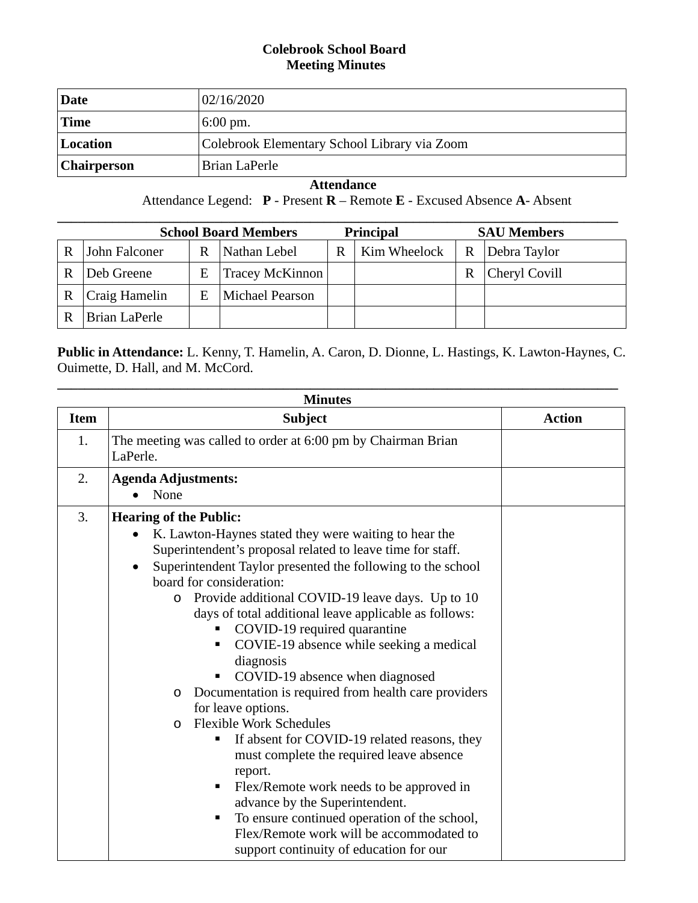## **Colebrook School Board Meeting Minutes**

| Date               | 02/16/2020                                   |
|--------------------|----------------------------------------------|
| <b>Time</b>        | $6:00 \text{ pm}.$                           |
| Location           | Colebrook Elementary School Library via Zoom |
| <b>Chairperson</b> | Brian LaPerle                                |

 **Attendance**

Attendance Legend: **P** - Present **R** – Remote **E** - Excused Absence **A**- Absent

|   | <b>School Board Members</b><br><b>Principal</b><br><b>SAU Members</b> |   |                 |   |              |   |               |
|---|-----------------------------------------------------------------------|---|-----------------|---|--------------|---|---------------|
| R | John Falconer                                                         | R | Nathan Lebel    | R | Kim Wheelock | R | Debra Taylor  |
| R | Deb Greene                                                            | Е | Tracey McKinnon |   |              | R | Cheryl Covill |
| R | Craig Hamelin                                                         | E | Michael Pearson |   |              |   |               |
|   | Brian LaPerle                                                         |   |                 |   |              |   |               |

**Public in Attendance:** L. Kenny, T. Hamelin, A. Caron, D. Dionne, L. Hastings, K. Lawton-Haynes, C. Ouimette, D. Hall, and M. McCord.

| <b>Minutes</b> |                                                                                                                                                                                                                                                                                                                                                                                                                                                                                                                                                                                                                                                                                                                                                                                                                                                                                                                                         |               |  |  |  |
|----------------|-----------------------------------------------------------------------------------------------------------------------------------------------------------------------------------------------------------------------------------------------------------------------------------------------------------------------------------------------------------------------------------------------------------------------------------------------------------------------------------------------------------------------------------------------------------------------------------------------------------------------------------------------------------------------------------------------------------------------------------------------------------------------------------------------------------------------------------------------------------------------------------------------------------------------------------------|---------------|--|--|--|
| <b>Item</b>    | <b>Subject</b>                                                                                                                                                                                                                                                                                                                                                                                                                                                                                                                                                                                                                                                                                                                                                                                                                                                                                                                          | <b>Action</b> |  |  |  |
| 1.             | The meeting was called to order at 6:00 pm by Chairman Brian<br>LaPerle.                                                                                                                                                                                                                                                                                                                                                                                                                                                                                                                                                                                                                                                                                                                                                                                                                                                                |               |  |  |  |
| 2.             | <b>Agenda Adjustments:</b><br>None                                                                                                                                                                                                                                                                                                                                                                                                                                                                                                                                                                                                                                                                                                                                                                                                                                                                                                      |               |  |  |  |
| 3.             | <b>Hearing of the Public:</b><br>K. Lawton-Haynes stated they were waiting to hear the<br>$\bullet$<br>Superintendent's proposal related to leave time for staff.<br>Superintendent Taylor presented the following to the school<br>board for consideration:<br>Provide additional COVID-19 leave days. Up to 10<br>$\circ$<br>days of total additional leave applicable as follows:<br>COVID-19 required quarantine<br>COVIE-19 absence while seeking a medical<br>diagnosis<br>COVID-19 absence when diagnosed<br>Documentation is required from health care providers<br>O<br>for leave options.<br><b>Flexible Work Schedules</b><br>$\Omega$<br>If absent for COVID-19 related reasons, they<br>п<br>must complete the required leave absence<br>report.<br>Flex/Remote work needs to be approved in<br>advance by the Superintendent.<br>To ensure continued operation of the school,<br>Flex/Remote work will be accommodated to |               |  |  |  |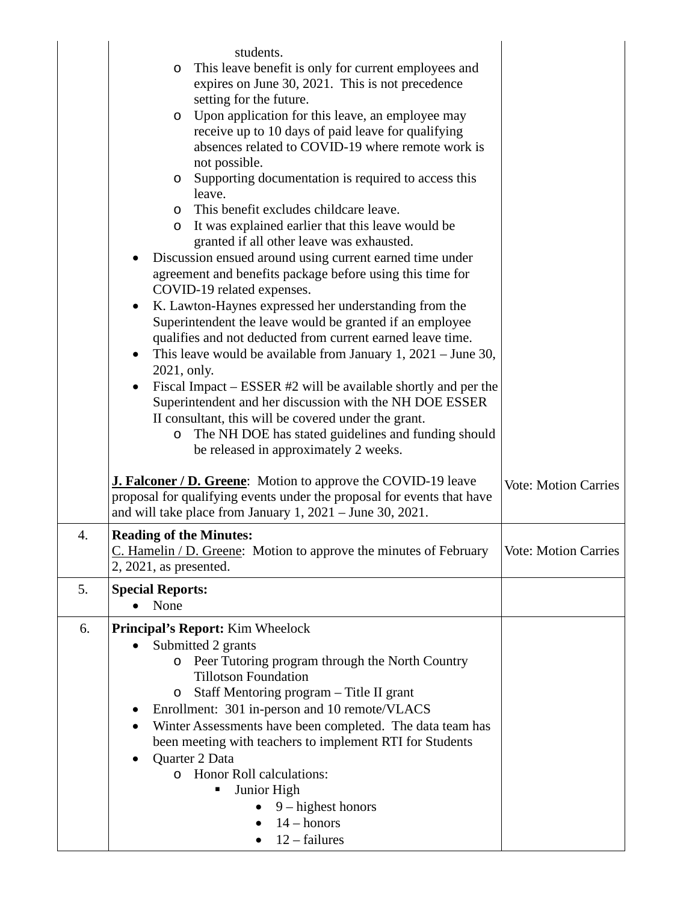|    | students.<br>This leave benefit is only for current employees and<br>$\circ$                                                          |                             |
|----|---------------------------------------------------------------------------------------------------------------------------------------|-----------------------------|
|    | expires on June 30, 2021. This is not precedence                                                                                      |                             |
|    | setting for the future.<br>Upon application for this leave, an employee may                                                           |                             |
|    | $\circ$<br>receive up to 10 days of paid leave for qualifying                                                                         |                             |
|    | absences related to COVID-19 where remote work is                                                                                     |                             |
|    | not possible.                                                                                                                         |                             |
|    | Supporting documentation is required to access this<br>$\circ$<br>leave.                                                              |                             |
|    | This benefit excludes childcare leave.<br>$\circ$                                                                                     |                             |
|    | It was explained earlier that this leave would be<br>$\circ$<br>granted if all other leave was exhausted.                             |                             |
|    | Discussion ensued around using current earned time under                                                                              |                             |
|    | agreement and benefits package before using this time for<br>COVID-19 related expenses.                                               |                             |
|    | K. Lawton-Haynes expressed her understanding from the<br>$\bullet$                                                                    |                             |
|    | Superintendent the leave would be granted if an employee                                                                              |                             |
|    | qualifies and not deducted from current earned leave time.                                                                            |                             |
|    | This leave would be available from January 1, $2021 -$ June 30,<br>$\bullet$<br>2021, only.                                           |                             |
|    | Fiscal Impact – ESSER #2 will be available shortly and per the                                                                        |                             |
|    | Superintendent and her discussion with the NH DOE ESSER                                                                               |                             |
|    | II consultant, this will be covered under the grant.<br>The NH DOE has stated guidelines and funding should<br>$\circ$                |                             |
|    | be released in approximately 2 weeks.                                                                                                 |                             |
|    |                                                                                                                                       |                             |
|    | <b>J. Falconer / D. Greene:</b> Motion to approve the COVID-19 leave                                                                  | <b>Vote: Motion Carries</b> |
|    | proposal for qualifying events under the proposal for events that have<br>and will take place from January $1, 2021$ – June 30, 2021. |                             |
| 4. | <b>Reading of the Minutes:</b>                                                                                                        |                             |
|    | C. Hamelin / D. Greene: Motion to approve the minutes of February                                                                     | Vote: Motion Carries        |
|    | $2, 2021$ , as presented.                                                                                                             |                             |
| 5. | <b>Special Reports:</b>                                                                                                               |                             |
|    | None                                                                                                                                  |                             |
| 6. | <b>Principal's Report:</b> Kim Wheelock                                                                                               |                             |
|    | Submitted 2 grants                                                                                                                    |                             |
|    | Peer Tutoring program through the North Country<br>O<br><b>Tillotson Foundation</b>                                                   |                             |
|    | Staff Mentoring program – Title II grant<br>O                                                                                         |                             |
|    | Enrollment: 301 in-person and 10 remote/VLACS                                                                                         |                             |
|    | Winter Assessments have been completed. The data team has                                                                             |                             |
|    | been meeting with teachers to implement RTI for Students                                                                              |                             |
|    | Quarter 2 Data<br>o Honor Roll calculations:                                                                                          |                             |
|    | Junior High                                                                                                                           |                             |
|    | $9 - highest$ honors                                                                                                                  |                             |
|    | $14 -$ honors                                                                                                                         |                             |
|    | $12$ – failures                                                                                                                       |                             |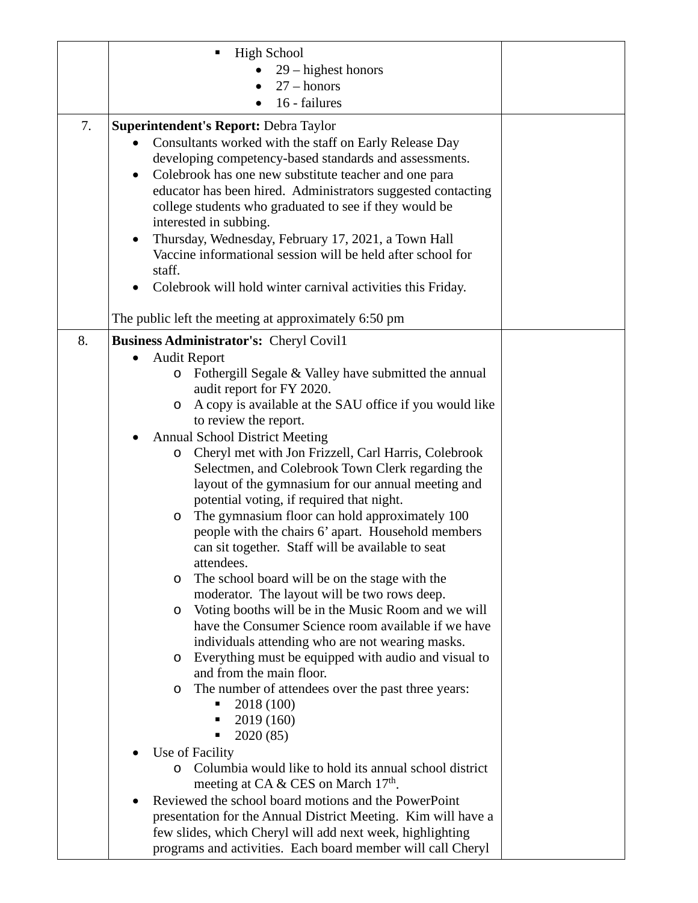|    | <b>High School</b>                                                                                       |
|----|----------------------------------------------------------------------------------------------------------|
|    | $29$ – highest honors                                                                                    |
|    | $27 -$ honors                                                                                            |
|    | 16 - failures                                                                                            |
| 7. | <b>Superintendent's Report: Debra Taylor</b>                                                             |
|    | Consultants worked with the staff on Early Release Day                                                   |
|    | developing competency-based standards and assessments.                                                   |
|    | Colebrook has one new substitute teacher and one para<br>٠                                               |
|    | educator has been hired. Administrators suggested contacting                                             |
|    | college students who graduated to see if they would be                                                   |
|    | interested in subbing.                                                                                   |
|    | Thursday, Wednesday, February 17, 2021, a Town Hall<br>٠                                                 |
|    | Vaccine informational session will be held after school for                                              |
|    | staff.                                                                                                   |
|    | Colebrook will hold winter carnival activities this Friday.                                              |
|    | The public left the meeting at approximately 6:50 pm                                                     |
| 8. | Business Administrator's: Cheryl Covil1                                                                  |
|    | <b>Audit Report</b><br>$\bullet$                                                                         |
|    | Fothergill Segale & Valley have submitted the annual<br>$\circ$                                          |
|    | audit report for FY 2020.                                                                                |
|    | A copy is available at the SAU office if you would like<br>O                                             |
|    | to review the report.<br><b>Annual School District Meeting</b>                                           |
|    | Cheryl met with Jon Frizzell, Carl Harris, Colebrook<br>$\circ$                                          |
|    | Selectmen, and Colebrook Town Clerk regarding the                                                        |
|    | layout of the gymnasium for our annual meeting and                                                       |
|    | potential voting, if required that night.                                                                |
|    | The gymnasium floor can hold approximately 100<br>$\circ$                                                |
|    | people with the chairs 6' apart. Household members                                                       |
|    | can sit together. Staff will be available to seat                                                        |
|    | attendees.                                                                                               |
|    | The school board will be on the stage with the<br>O                                                      |
|    | moderator. The layout will be two rows deep.                                                             |
|    | Voting booths will be in the Music Room and we will<br>$\circ$                                           |
|    | have the Consumer Science room available if we have                                                      |
|    | individuals attending who are not wearing masks.<br>Everything must be equipped with audio and visual to |
|    | O<br>and from the main floor.                                                                            |
|    | The number of attendees over the past three years:<br>$\circ$                                            |
|    | 2018 (100)                                                                                               |
|    | 2019 (160)                                                                                               |
|    | 2020 (85)                                                                                                |
|    | Use of Facility                                                                                          |
|    | Columbia would like to hold its annual school district<br>$\circ$                                        |
|    | meeting at CA & CES on March $17th$ .                                                                    |
|    | Reviewed the school board motions and the PowerPoint                                                     |
|    | presentation for the Annual District Meeting. Kim will have a                                            |
|    | few slides, which Cheryl will add next week, highlighting                                                |
|    | programs and activities. Each board member will call Cheryl                                              |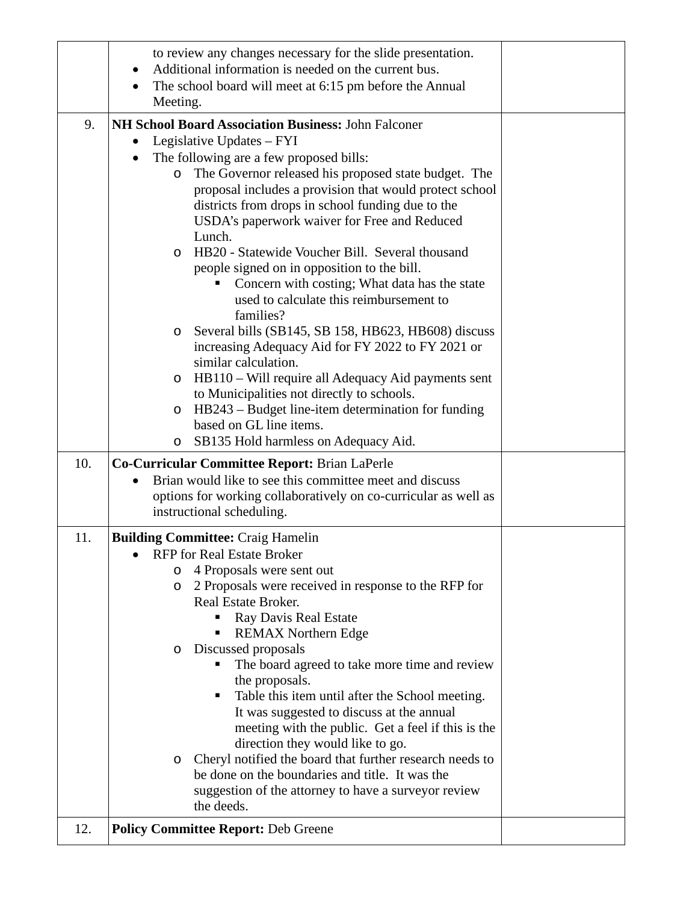|     | to review any changes necessary for the slide presentation.<br>Additional information is needed on the current bus.<br>The school board will meet at 6:15 pm before the Annual                                                                                                                                                                                                                                                                                                                                                                                                                                                                                                                                                                                                                                                                                                                                                    |  |
|-----|-----------------------------------------------------------------------------------------------------------------------------------------------------------------------------------------------------------------------------------------------------------------------------------------------------------------------------------------------------------------------------------------------------------------------------------------------------------------------------------------------------------------------------------------------------------------------------------------------------------------------------------------------------------------------------------------------------------------------------------------------------------------------------------------------------------------------------------------------------------------------------------------------------------------------------------|--|
|     | Meeting.                                                                                                                                                                                                                                                                                                                                                                                                                                                                                                                                                                                                                                                                                                                                                                                                                                                                                                                          |  |
| 9.  | NH School Board Association Business: John Falconer<br>Legislative Updates - FYI<br>The following are a few proposed bills:<br>The Governor released his proposed state budget. The<br>$\circ$<br>proposal includes a provision that would protect school<br>districts from drops in school funding due to the<br>USDA's paperwork waiver for Free and Reduced<br>Lunch.<br>HB20 - Statewide Voucher Bill. Several thousand<br>O<br>people signed on in opposition to the bill.<br>Concern with costing; What data has the state<br>used to calculate this reimbursement to<br>families?<br>Several bills (SB145, SB 158, HB623, HB608) discuss<br>O<br>increasing Adequacy Aid for FY 2022 to FY 2021 or<br>similar calculation.<br>HB110 – Will require all Adequacy Aid payments sent<br>O<br>to Municipalities not directly to schools.<br>HB243 – Budget line-item determination for funding<br>O<br>based on GL line items. |  |
|     | SB135 Hold harmless on Adequacy Aid.<br>$\circ$                                                                                                                                                                                                                                                                                                                                                                                                                                                                                                                                                                                                                                                                                                                                                                                                                                                                                   |  |
| 10. | Co-Curricular Committee Report: Brian LaPerle<br>Brian would like to see this committee meet and discuss<br>options for working collaboratively on co-curricular as well as<br>instructional scheduling.                                                                                                                                                                                                                                                                                                                                                                                                                                                                                                                                                                                                                                                                                                                          |  |
| 11. | <b>Building Committee: Craig Hamelin</b><br><b>RFP</b> for Real Estate Broker<br>4 Proposals were sent out<br>O<br>2 Proposals were received in response to the RFP for<br>O<br>Real Estate Broker.<br>Ray Davis Real Estate<br><b>REMAX Northern Edge</b><br>Discussed proposals<br>O<br>The board agreed to take more time and review<br>the proposals.<br>Table this item until after the School meeting.<br>It was suggested to discuss at the annual<br>meeting with the public. Get a feel if this is the<br>direction they would like to go.<br>Cheryl notified the board that further research needs to<br>O<br>be done on the boundaries and title. It was the<br>suggestion of the attorney to have a surveyor review<br>the deeds.                                                                                                                                                                                     |  |
| 12. | <b>Policy Committee Report: Deb Greene</b>                                                                                                                                                                                                                                                                                                                                                                                                                                                                                                                                                                                                                                                                                                                                                                                                                                                                                        |  |